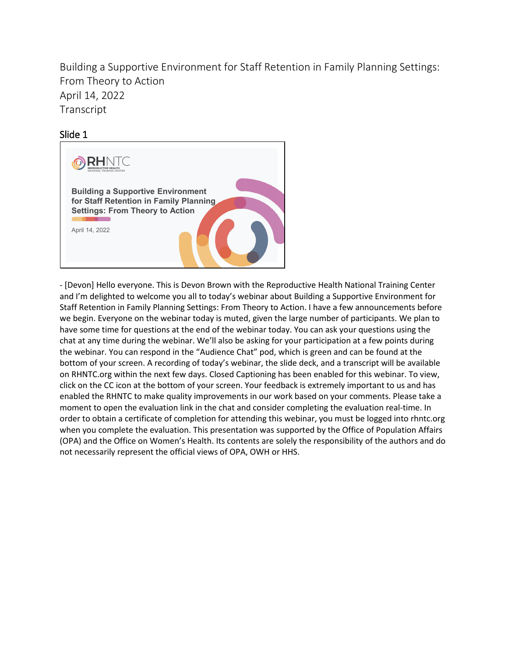Building a Supportive Environment for Staff Retention in Family Planning Settings: From Theory to Action April 14, 2022 Transcript

# Slide 1



- [Devon] Hello everyone. This is Devon Brown with the Reproductive Health National Training Center and I'm delighted to welcome you all to today's webinar about Building a Supportive Environment for Staff Retention in Family Planning Settings: From Theory to Action. I have a few announcements before we begin. Everyone on the webinar today is muted, given the large number of participants. We plan to have some time for questions at the end of the webinar today. You can ask your questions using the chat at any time during the webinar. We'll also be asking for your participation at a few points during the webinar. You can respond in the "Audience Chat" pod, which is green and can be found at the bottom of your screen. A recording of today's webinar, the slide deck, and a transcript will be available on RHNTC.org within the next few days. Closed Captioning has been enabled for this webinar. To view, click on the CC icon at the bottom of your screen. Your feedback is extremely important to us and has enabled the RHNTC to make quality improvements in our work based on your comments. Please take a moment to open the evaluation link in the chat and consider completing the evaluation real-time. In order to obtain a certificate of completion for attending this webinar, you must be logged into rhntc.org when you complete the evaluation. This presentation was supported by the Office of Population Affairs (OPA) and the Office on Women's Health. Its contents are solely the responsibility of the authors and do not necessarily represent the official views of OPA, OWH or HHS.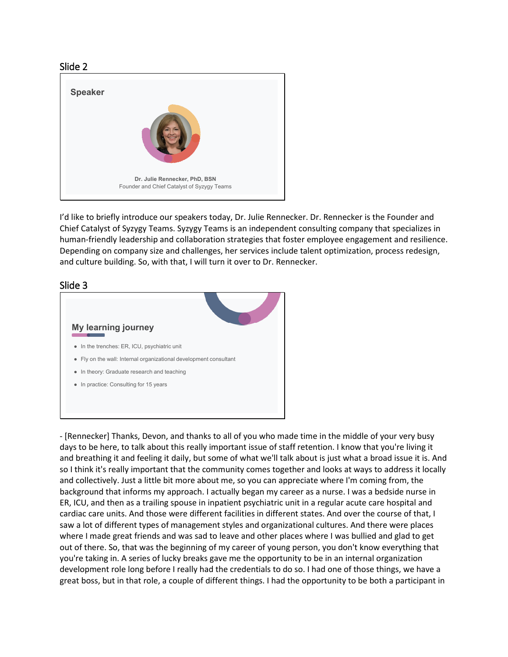

I'd like to briefly introduce our speakers today, Dr. Julie Rennecker. Dr. Rennecker is the Founder and Chief Catalyst of Syzygy Teams. Syzygy Teams is an independent consulting company that specializes in human-friendly leadership and collaboration strategies that foster employee engagement and resilience. Depending on company size and challenges, her services include talent optimization, process redesign, and culture building. So, with that, I will turn it over to Dr. Rennecker.



- [Rennecker] Thanks, Devon, and thanks to all of you who made time in the middle of your very busy days to be here, to talk about this really important issue of staff retention. I know that you're living it and breathing it and feeling it daily, but some of what we'll talk about is just what a broad issue it is. And so I think it's really important that the community comes together and looks at ways to address it locally and collectively. Just a little bit more about me, so you can appreciate where I'm coming from, the background that informs my approach. I actually began my career as a nurse. I was a bedside nurse in ER, ICU, and then as a trailing spouse in inpatient psychiatric unit in a regular acute care hospital and cardiac care units. And those were different facilities in different states. And over the course of that, I saw a lot of different types of management styles and organizational cultures. And there were places where I made great friends and was sad to leave and other places where I was bullied and glad to get out of there. So, that was the beginning of my career of young person, you don't know everything that you're taking in. A series of lucky breaks gave me the opportunity to be in an internal organization development role long before I really had the credentials to do so. I had one of those things, we have a great boss, but in that role, a couple of different things. I had the opportunity to be both a participant in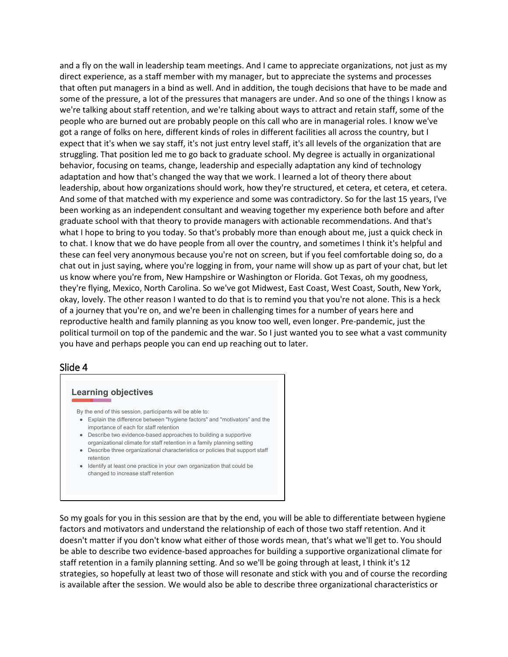and a fly on the wall in leadership team meetings. And I came to appreciate organizations, not just as my direct experience, as a staff member with my manager, but to appreciate the systems and processes that often put managers in a bind as well. And in addition, the tough decisions that have to be made and some of the pressure, a lot of the pressures that managers are under. And so one of the things I know as we're talking about staff retention, and we're talking about ways to attract and retain staff, some of the people who are burned out are probably people on this call who are in managerial roles. I know we've got a range of folks on here, different kinds of roles in different facilities all across the country, but I expect that it's when we say staff, it's not just entry level staff, it's all levels of the organization that are struggling. That position led me to go back to graduate school. My degree is actually in organizational behavior, focusing on teams, change, leadership and especially adaptation any kind of technology adaptation and how that's changed the way that we work. I learned a lot of theory there about leadership, about how organizations should work, how they're structured, et cetera, et cetera, et cetera. And some of that matched with my experience and some was contradictory. So for the last 15 years, I've been working as an independent consultant and weaving together my experience both before and after graduate school with that theory to provide managers with actionable recommendations. And that's what I hope to bring to you today. So that's probably more than enough about me, just a quick check in to chat. I know that we do have people from all over the country, and sometimes I think it's helpful and these can feel very anonymous because you're not on screen, but if you feel comfortable doing so, do a chat out in just saying, where you're logging in from, your name will show up as part of your chat, but let us know where you're from, New Hampshire or Washington or Florida. Got Texas, oh my goodness, they're flying, Mexico, North Carolina. So we've got Midwest, East Coast, West Coast, South, New York, okay, lovely. The other reason I wanted to do that is to remind you that you're not alone. This is a heck of a journey that you're on, and we're been in challenging times for a number of years here and reproductive health and family planning as you know too well, even longer. Pre-pandemic, just the political turmoil on top of the pandemic and the war. So I just wanted you to see what a vast community you have and perhaps people you can end up reaching out to later.

#### Slide 4

#### **Learning objectives**

By the end of this session, participants will be able to:

- Explain the difference between "hygiene factors" and "motivators" and the importance of each for staff retention
- Describe two evidence-based approaches to building a supportive organizational climate for staff retention in a family planning setting
- Describe three organizational characteristics or policies that support staff retention
- Identify at least one practice in your own organization that could be changed to increase staff retention

So my goals for you in this session are that by the end, you will be able to differentiate between hygiene factors and motivators and understand the relationship of each of those two staff retention. And it doesn't matter if you don't know what either of those words mean, that's what we'll get to. You should be able to describe two evidence-based approaches for building a supportive organizational climate for staff retention in a family planning setting. And so we'll be going through at least, I think it's 12 strategies, so hopefully at least two of those will resonate and stick with you and of course the recording is available after the session. We would also be able to describe three organizational characteristics or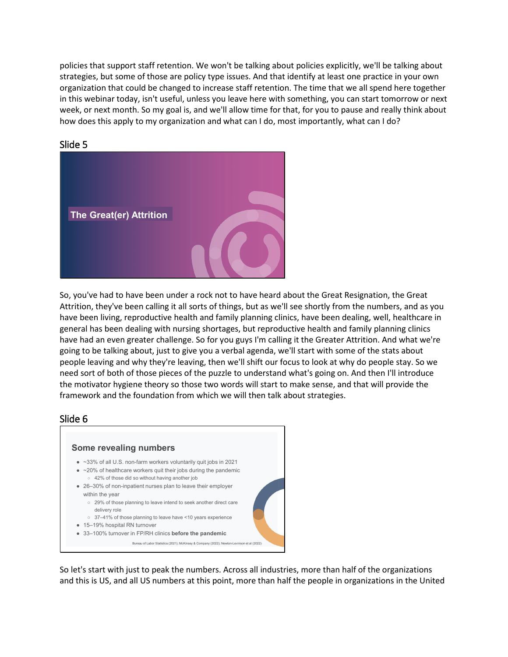policies that support staff retention. We won't be talking about policies explicitly, we'll be talking about strategies, but some of those are policy type issues. And that identify at least one practice in your own organization that could be changed to increase staff retention. The time that we all spend here together in this webinar today, isn't useful, unless you leave here with something, you can start tomorrow or next week, or next month. So my goal is, and we'll allow time for that, for you to pause and really think about how does this apply to my organization and what can I do, most importantly, what can I do?



# Slide 5

So, you've had to have been under a rock not to have heard about the Great Resignation, the Great Attrition, they've been calling it all sorts of things, but as we'll see shortly from the numbers, and as you have been living, reproductive health and family planning clinics, have been dealing, well, healthcare in general has been dealing with nursing shortages, but reproductive health and family planning clinics have had an even greater challenge. So for you guys I'm calling it the Greater Attrition. And what we're going to be talking about, just to give you a verbal agenda, we'll start with some of the stats about people leaving and why they're leaving, then we'll shift our focus to look at why do people stay. So we need sort of both of those pieces of the puzzle to understand what's going on. And then I'll introduce the motivator hygiene theory so those two words will start to make sense, and that will provide the framework and the foundation from which we will then talk about strategies.

# Slide 6



So let's start with just to peak the numbers. Across all industries, more than half of the organizations and this is US, and all US numbers at this point, more than half the people in organizations in the United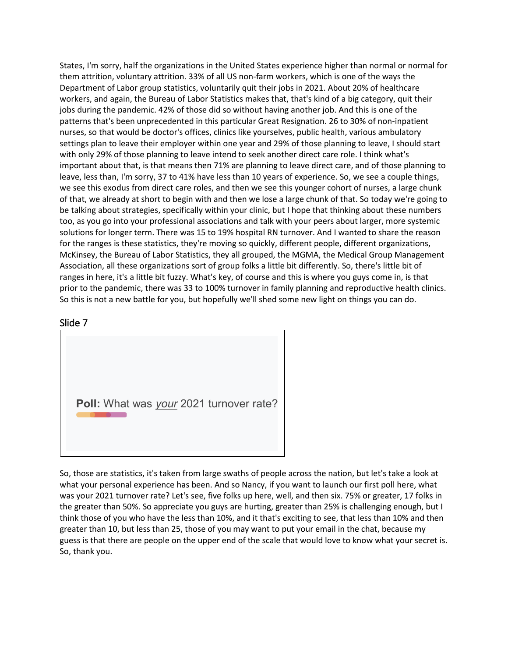States, I'm sorry, half the organizations in the United States experience higher than normal or normal for them attrition, voluntary attrition. 33% of all US non-farm workers, which is one of the ways the Department of Labor group statistics, voluntarily quit their jobs in 2021. About 20% of healthcare workers, and again, the Bureau of Labor Statistics makes that, that's kind of a big category, quit their jobs during the pandemic. 42% of those did so without having another job. And this is one of the patterns that's been unprecedented in this particular Great Resignation. 26 to 30% of non-inpatient nurses, so that would be doctor's offices, clinics like yourselves, public health, various ambulatory settings plan to leave their employer within one year and 29% of those planning to leave, I should start with only 29% of those planning to leave intend to seek another direct care role. I think what's important about that, is that means then 71% are planning to leave direct care, and of those planning to leave, less than, I'm sorry, 37 to 41% have less than 10 years of experience. So, we see a couple things, we see this exodus from direct care roles, and then we see this younger cohort of nurses, a large chunk of that, we already at short to begin with and then we lose a large chunk of that. So today we're going to be talking about strategies, specifically within your clinic, but I hope that thinking about these numbers too, as you go into your professional associations and talk with your peers about larger, more systemic solutions for longer term. There was 15 to 19% hospital RN turnover. And I wanted to share the reason for the ranges is these statistics, they're moving so quickly, different people, different organizations, McKinsey, the Bureau of Labor Statistics, they all grouped, the MGMA, the Medical Group Management Association, all these organizations sort of group folks a little bit differently. So, there's little bit of ranges in here, it's a little bit fuzzy. What's key, of course and this is where you guys come in, is that prior to the pandemic, there was 33 to 100% turnover in family planning and reproductive health clinics. So this is not a new battle for you, but hopefully we'll shed some new light on things you can do.

# Slide 7

**Poll:** What was *your* 2021 turnover rate?

So, those are statistics, it's taken from large swaths of people across the nation, but let's take a look at what your personal experience has been. And so Nancy, if you want to launch our first poll here, what was your 2021 turnover rate? Let's see, five folks up here, well, and then six. 75% or greater, 17 folks in the greater than 50%. So appreciate you guys are hurting, greater than 25% is challenging enough, but I think those of you who have the less than 10%, and it that's exciting to see, that less than 10% and then greater than 10, but less than 25, those of you may want to put your email in the chat, because my guess is that there are people on the upper end of the scale that would love to know what your secret is. So, thank you.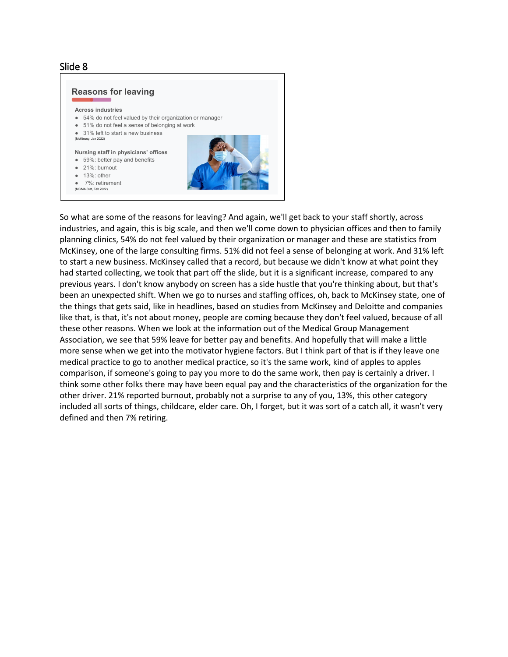

So what are some of the reasons for leaving? And again, we'll get back to your staff shortly, across industries, and again, this is big scale, and then we'll come down to physician offices and then to family planning clinics, 54% do not feel valued by their organization or manager and these are statistics from McKinsey, one of the large consulting firms. 51% did not feel a sense of belonging at work. And 31% left to start a new business. McKinsey called that a record, but because we didn't know at what point they had started collecting, we took that part off the slide, but it is a significant increase, compared to any previous years. I don't know anybody on screen has a side hustle that you're thinking about, but that's been an unexpected shift. When we go to nurses and staffing offices, oh, back to McKinsey state, one of the things that gets said, like in headlines, based on studies from McKinsey and Deloitte and companies like that, is that, it's not about money, people are coming because they don't feel valued, because of all these other reasons. When we look at the information out of the Medical Group Management Association, we see that 59% leave for better pay and benefits. And hopefully that will make a little more sense when we get into the motivator hygiene factors. But I think part of that is if they leave one medical practice to go to another medical practice, so it's the same work, kind of apples to apples comparison, if someone's going to pay you more to do the same work, then pay is certainly a driver. I think some other folks there may have been equal pay and the characteristics of the organization for the other driver. 21% reported burnout, probably not a surprise to any of you, 13%, this other category included all sorts of things, childcare, elder care. Oh, I forget, but it was sort of a catch all, it wasn't very defined and then 7% retiring.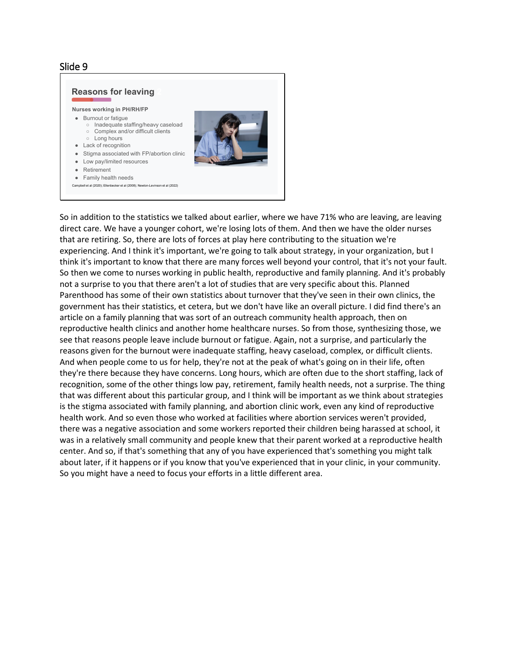

So in addition to the statistics we talked about earlier, where we have 71% who are leaving, are leaving direct care. We have a younger cohort, we're losing lots of them. And then we have the older nurses that are retiring. So, there are lots of forces at play here contributing to the situation we're experiencing. And I think it's important, we're going to talk about strategy, in your organization, but I think it's important to know that there are many forces well beyond your control, that it's not your fault. So then we come to nurses working in public health, reproductive and family planning. And it's probably not a surprise to you that there aren't a lot of studies that are very specific about this. Planned Parenthood has some of their own statistics about turnover that they've seen in their own clinics, the government has their statistics, et cetera, but we don't have like an overall picture. I did find there's an article on a family planning that was sort of an outreach community health approach, then on reproductive health clinics and another home healthcare nurses. So from those, synthesizing those, we see that reasons people leave include burnout or fatigue. Again, not a surprise, and particularly the reasons given for the burnout were inadequate staffing, heavy caseload, complex, or difficult clients. And when people come to us for help, they're not at the peak of what's going on in their life, often they're there because they have concerns. Long hours, which are often due to the short staffing, lack of recognition, some of the other things low pay, retirement, family health needs, not a surprise. The thing that was different about this particular group, and I think will be important as we think about strategies is the stigma associated with family planning, and abortion clinic work, even any kind of reproductive health work. And so even those who worked at facilities where abortion services weren't provided, there was a negative association and some workers reported their children being harassed at school, it was in a relatively small community and people knew that their parent worked at a reproductive health center. And so, if that's something that any of you have experienced that's something you might talk about later, if it happens or if you know that you've experienced that in your clinic, in your community. So you might have a need to focus your efforts in a little different area.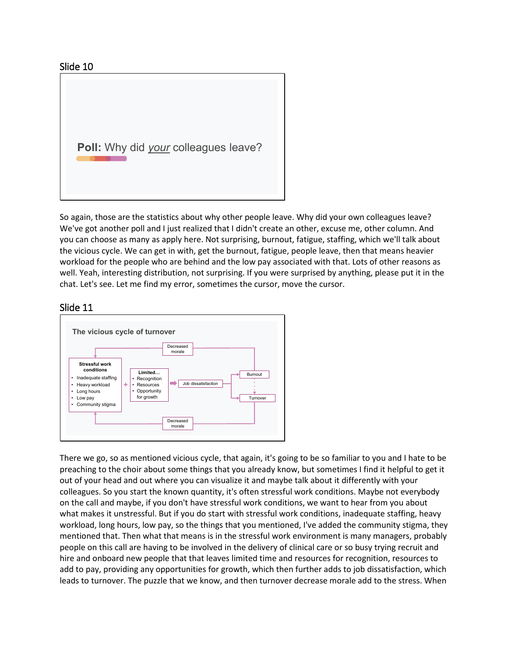

So again, those are the statistics about why other people leave. Why did your own colleagues leave? We've got another poll and I just realized that I didn't create an other, excuse me, other column. And you can choose as many as apply here. Not surprising, burnout, fatigue, staffing, which we'll talk about the vicious cycle. We can get in with, get the burnout, fatigue, people leave, then that means heavier workload for the people who are behind and the low pay associated with that. Lots of other reasons as well. Yeah, interesting distribution, not surprising. If you were surprised by anything, please put it in the chat. Let's see. Let me find my error, sometimes the cursor, move the cursor.

### Slide 11



There we go, so as mentioned vicious cycle, that again, it's going to be so familiar to you and I hate to be preaching to the choir about some things that you already know, but sometimes I find it helpful to get it out of your head and out where you can visualize it and maybe talk about it differently with your colleagues. So you start the known quantity, it's often stressful work conditions. Maybe not everybody on the call and maybe, if you don't have stressful work conditions, we want to hear from you about what makes it unstressful. But if you do start with stressful work conditions, inadequate staffing, heavy workload, long hours, low pay, so the things that you mentioned, I've added the community stigma, they mentioned that. Then what that means is in the stressful work environment is many managers, probably people on this call are having to be involved in the delivery of clinical care or so busy trying recruit and hire and onboard new people that that leaves limited time and resources for recognition, resources to add to pay, providing any opportunities for growth, which then further adds to job dissatisfaction, which leads to turnover. The puzzle that we know, and then turnover decrease morale add to the stress. When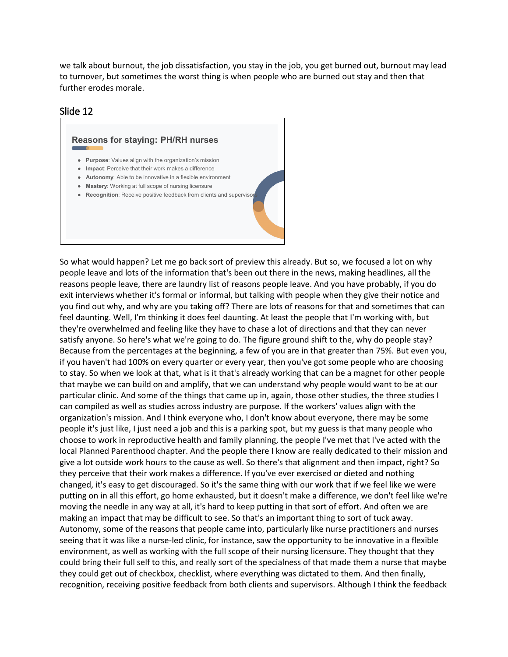we talk about burnout, the job dissatisfaction, you stay in the job, you get burned out, burnout may lead to turnover, but sometimes the worst thing is when people who are burned out stay and then that further erodes morale.

### Slide 12



So what would happen? Let me go back sort of preview this already. But so, we focused a lot on why people leave and lots of the information that's been out there in the news, making headlines, all the reasons people leave, there are laundry list of reasons people leave. And you have probably, if you do exit interviews whether it's formal or informal, but talking with people when they give their notice and you find out why, and why are you taking off? There are lots of reasons for that and sometimes that can feel daunting. Well, I'm thinking it does feel daunting. At least the people that I'm working with, but they're overwhelmed and feeling like they have to chase a lot of directions and that they can never satisfy anyone. So here's what we're going to do. The figure ground shift to the, why do people stay? Because from the percentages at the beginning, a few of you are in that greater than 75%. But even you, if you haven't had 100% on every quarter or every year, then you've got some people who are choosing to stay. So when we look at that, what is it that's already working that can be a magnet for other people that maybe we can build on and amplify, that we can understand why people would want to be at our particular clinic. And some of the things that came up in, again, those other studies, the three studies I can compiled as well as studies across industry are purpose. If the workers' values align with the organization's mission. And I think everyone who, I don't know about everyone, there may be some people it's just like, I just need a job and this is a parking spot, but my guess is that many people who choose to work in reproductive health and family planning, the people I've met that I've acted with the local Planned Parenthood chapter. And the people there I know are really dedicated to their mission and give a lot outside work hours to the cause as well. So there's that alignment and then impact, right? So they perceive that their work makes a difference. If you've ever exercised or dieted and nothing changed, it's easy to get discouraged. So it's the same thing with our work that if we feel like we were putting on in all this effort, go home exhausted, but it doesn't make a difference, we don't feel like we're moving the needle in any way at all, it's hard to keep putting in that sort of effort. And often we are making an impact that may be difficult to see. So that's an important thing to sort of tuck away. Autonomy, some of the reasons that people came into, particularly like nurse practitioners and nurses seeing that it was like a nurse-led clinic, for instance, saw the opportunity to be innovative in a flexible environment, as well as working with the full scope of their nursing licensure. They thought that they could bring their full self to this, and really sort of the specialness of that made them a nurse that maybe they could get out of checkbox, checklist, where everything was dictated to them. And then finally, recognition, receiving positive feedback from both clients and supervisors. Although I think the feedback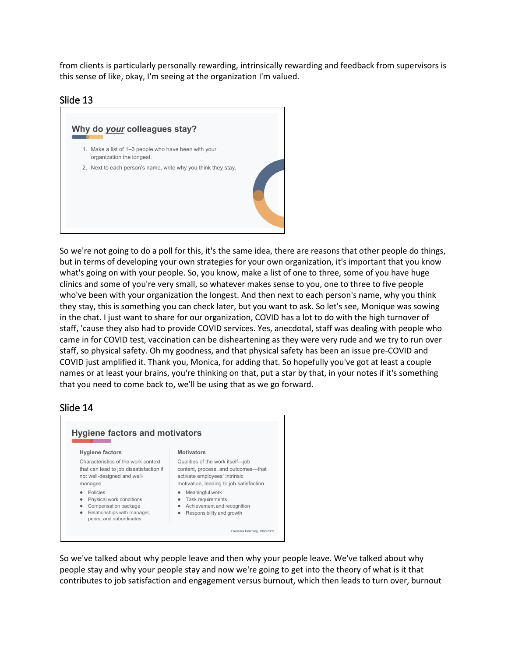from clients is particularly personally rewarding, intrinsically rewarding and feedback from supervisors is this sense of like, okay, I'm seeing at the organization I'm valued.

## Slide 13



So we're not going to do a poll for this, it's the same idea, there are reasons that other people do things, but in terms of developing your own strategies for your own organization, it's important that you know what's going on with your people. So, you know, make a list of one to three, some of you have huge clinics and some of you're very small, so whatever makes sense to you, one to three to five people who've been with your organization the longest. And then next to each person's name, why you think they stay, this is something you can check later, but you want to ask. So let's see, Monique was sowing in the chat. I just want to share for our organization, COVID has a lot to do with the high turnover of staff, 'cause they also had to provide COVID services. Yes, anecdotal, staff was dealing with people who came in for COVID test, vaccination can be disheartening as they were very rude and we try to run over staff, so physical safety. Oh my goodness, and that physical safety has been an issue pre-COVID and COVID just amplified it. Thank you, Monica, for adding that. So hopefully you've got at least a couple names or at least your brains, you're thinking on that, put a star by that, in your notes if it's something that you need to come back to, we'll be using that as we go forward.

### Slide 14



So we've talked about why people leave and then why your people leave. We've talked about why people stay and why your people stay and now we're going to get into the theory of what is it that contributes to job satisfaction and engagement versus burnout, which then leads to turn over, burnout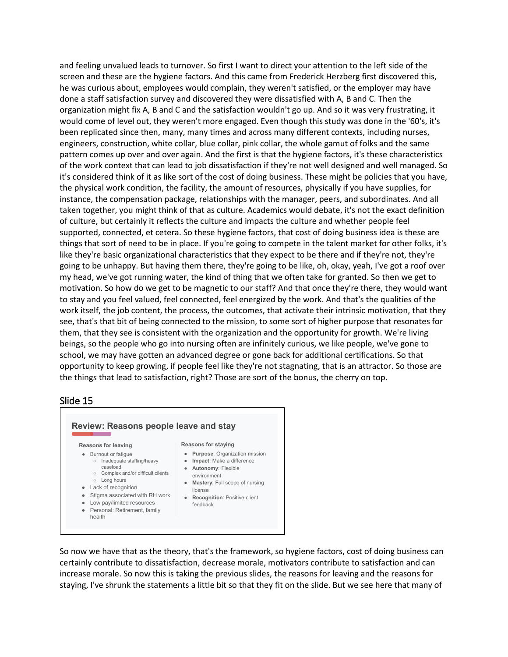and feeling unvalued leads to turnover. So first I want to direct your attention to the left side of the screen and these are the hygiene factors. And this came from Frederick Herzberg first discovered this, he was curious about, employees would complain, they weren't satisfied, or the employer may have done a staff satisfaction survey and discovered they were dissatisfied with A, B and C. Then the organization might fix A, B and C and the satisfaction wouldn't go up. And so it was very frustrating, it would come of level out, they weren't more engaged. Even though this study was done in the '60's, it's been replicated since then, many, many times and across many different contexts, including nurses, engineers, construction, white collar, blue collar, pink collar, the whole gamut of folks and the same pattern comes up over and over again. And the first is that the hygiene factors, it's these characteristics of the work context that can lead to job dissatisfaction if they're not well designed and well managed. So it's considered think of it as like sort of the cost of doing business. These might be policies that you have, the physical work condition, the facility, the amount of resources, physically if you have supplies, for instance, the compensation package, relationships with the manager, peers, and subordinates. And all taken together, you might think of that as culture. Academics would debate, it's not the exact definition of culture, but certainly it reflects the culture and impacts the culture and whether people feel supported, connected, et cetera. So these hygiene factors, that cost of doing business idea is these are things that sort of need to be in place. If you're going to compete in the talent market for other folks, it's like they're basic organizational characteristics that they expect to be there and if they're not, they're going to be unhappy. But having them there, they're going to be like, oh, okay, yeah, I've got a roof over my head, we've got running water, the kind of thing that we often take for granted. So then we get to motivation. So how do we get to be magnetic to our staff? And that once they're there, they would want to stay and you feel valued, feel connected, feel energized by the work. And that's the qualities of the work itself, the job content, the process, the outcomes, that activate their intrinsic motivation, that they see, that's that bit of being connected to the mission, to some sort of higher purpose that resonates for them, that they see is consistent with the organization and the opportunity for growth. We're living beings, so the people who go into nursing often are infinitely curious, we like people, we've gone to school, we may have gotten an advanced degree or gone back for additional certifications. So that opportunity to keep growing, if people feel like they're not stagnating, that is an attractor. So those are the things that lead to satisfaction, right? Those are sort of the bonus, the cherry on top.

### Slide 15



So now we have that as the theory, that's the framework, so hygiene factors, cost of doing business can certainly contribute to dissatisfaction, decrease morale, motivators contribute to satisfaction and can increase morale. So now this is taking the previous slides, the reasons for leaving and the reasons for staying, I've shrunk the statements a little bit so that they fit on the slide. But we see here that many of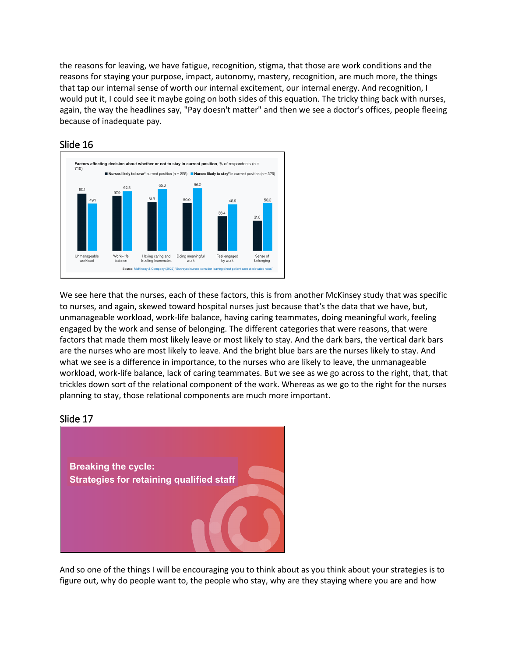the reasons for leaving, we have fatigue, recognition, stigma, that those are work conditions and the reasons for staying your purpose, impact, autonomy, mastery, recognition, are much more, the things that tap our internal sense of worth our internal excitement, our internal energy. And recognition, I would put it, I could see it maybe going on both sides of this equation. The tricky thing back with nurses, again, the way the headlines say, "Pay doesn't matter" and then we see a doctor's offices, people fleeing because of inadequate pay.



# Slide 16

We see here that the nurses, each of these factors, this is from another McKinsey study that was specific to nurses, and again, skewed toward hospital nurses just because that's the data that we have, but, unmanageable workload, work-life balance, having caring teammates, doing meaningful work, feeling engaged by the work and sense of belonging. The different categories that were reasons, that were factors that made them most likely leave or most likely to stay. And the dark bars, the vertical dark bars are the nurses who are most likely to leave. And the bright blue bars are the nurses likely to stay. And what we see is a difference in importance, to the nurses who are likely to leave, the unmanageable workload, work-life balance, lack of caring teammates. But we see as we go across to the right, that, that trickles down sort of the relational component of the work. Whereas as we go to the right for the nurses planning to stay, those relational components are much more important.

# Slide 17



And so one of the things I will be encouraging you to think about as you think about your strategies is to figure out, why do people want to, the people who stay, why are they staying where you are and how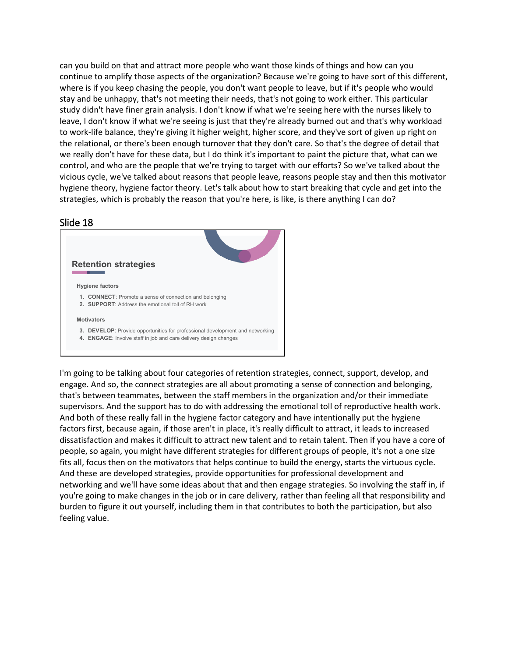can you build on that and attract more people who want those kinds of things and how can you continue to amplify those aspects of the organization? Because we're going to have sort of this different, where is if you keep chasing the people, you don't want people to leave, but if it's people who would stay and be unhappy, that's not meeting their needs, that's not going to work either. This particular study didn't have finer grain analysis. I don't know if what we're seeing here with the nurses likely to leave, I don't know if what we're seeing is just that they're already burned out and that's why workload to work-life balance, they're giving it higher weight, higher score, and they've sort of given up right on the relational, or there's been enough turnover that they don't care. So that's the degree of detail that we really don't have for these data, but I do think it's important to paint the picture that, what can we control, and who are the people that we're trying to target with our efforts? So we've talked about the vicious cycle, we've talked about reasons that people leave, reasons people stay and then this motivator hygiene theory, hygiene factor theory. Let's talk about how to start breaking that cycle and get into the strategies, which is probably the reason that you're here, is like, is there anything I can do?

### Slide 18



I'm going to be talking about four categories of retention strategies, connect, support, develop, and engage. And so, the connect strategies are all about promoting a sense of connection and belonging, that's between teammates, between the staff members in the organization and/or their immediate supervisors. And the support has to do with addressing the emotional toll of reproductive health work. And both of these really fall in the hygiene factor category and have intentionally put the hygiene factors first, because again, if those aren't in place, it's really difficult to attract, it leads to increased dissatisfaction and makes it difficult to attract new talent and to retain talent. Then if you have a core of people, so again, you might have different strategies for different groups of people, it's not a one size fits all, focus then on the motivators that helps continue to build the energy, starts the virtuous cycle. And these are developed strategies, provide opportunities for professional development and networking and we'll have some ideas about that and then engage strategies. So involving the staff in, if you're going to make changes in the job or in care delivery, rather than feeling all that responsibility and burden to figure it out yourself, including them in that contributes to both the participation, but also feeling value.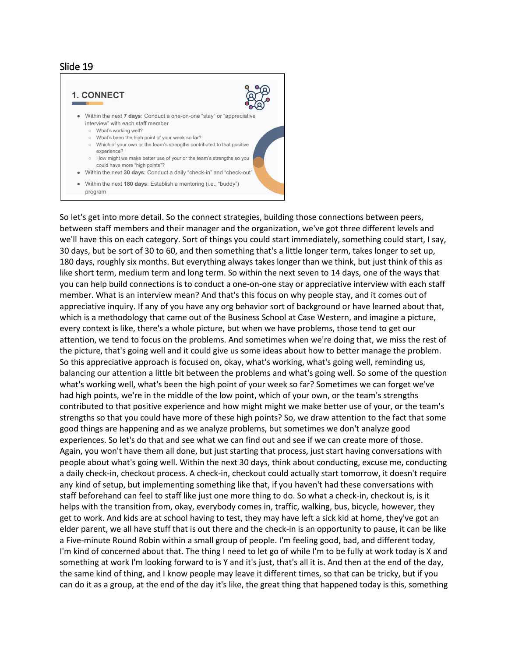

So let's get into more detail. So the connect strategies, building those connections between peers, between staff members and their manager and the organization, we've got three different levels and we'll have this on each category. Sort of things you could start immediately, something could start, I say, 30 days, but be sort of 30 to 60, and then something that's a little longer term, takes longer to set up, 180 days, roughly six months. But everything always takes longer than we think, but just think of this as like short term, medium term and long term. So within the next seven to 14 days, one of the ways that you can help build connections is to conduct a one-on-one stay or appreciative interview with each staff member. What is an interview mean? And that's this focus on why people stay, and it comes out of appreciative inquiry. If any of you have any org behavior sort of background or have learned about that, which is a methodology that came out of the Business School at Case Western, and imagine a picture, every context is like, there's a whole picture, but when we have problems, those tend to get our attention, we tend to focus on the problems. And sometimes when we're doing that, we miss the rest of the picture, that's going well and it could give us some ideas about how to better manage the problem. So this appreciative approach is focused on, okay, what's working, what's going well, reminding us, balancing our attention a little bit between the problems and what's going well. So some of the question what's working well, what's been the high point of your week so far? Sometimes we can forget we've had high points, we're in the middle of the low point, which of your own, or the team's strengths contributed to that positive experience and how might might we make better use of your, or the team's strengths so that you could have more of these high points? So, we draw attention to the fact that some good things are happening and as we analyze problems, but sometimes we don't analyze good experiences. So let's do that and see what we can find out and see if we can create more of those. Again, you won't have them all done, but just starting that process, just start having conversations with people about what's going well. Within the next 30 days, think about conducting, excuse me, conducting a daily check-in, checkout process. A check-in, checkout could actually start tomorrow, it doesn't require any kind of setup, but implementing something like that, if you haven't had these conversations with staff beforehand can feel to staff like just one more thing to do. So what a check-in, checkout is, is it helps with the transition from, okay, everybody comes in, traffic, walking, bus, bicycle, however, they get to work. And kids are at school having to test, they may have left a sick kid at home, they've got an elder parent, we all have stuff that is out there and the check-in is an opportunity to pause, it can be like a Five-minute Round Robin within a small group of people. I'm feeling good, bad, and different today, I'm kind of concerned about that. The thing I need to let go of while I'm to be fully at work today is X and something at work I'm looking forward to is Y and it's just, that's all it is. And then at the end of the day, the same kind of thing, and I know people may leave it different times, so that can be tricky, but if you can do it as a group, at the end of the day it's like, the great thing that happened today is this, something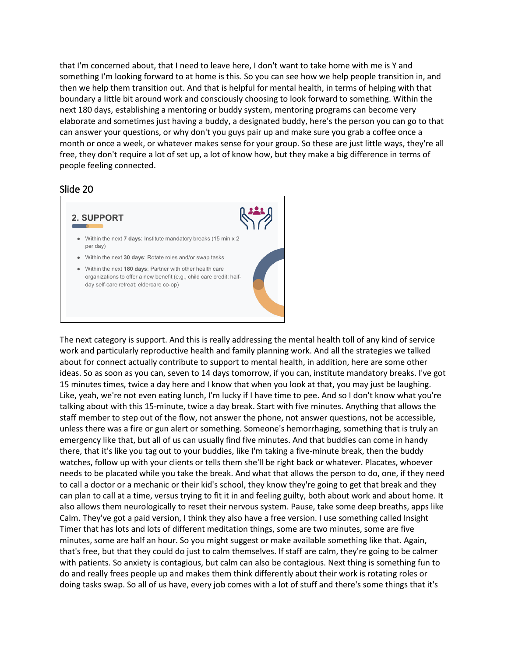that I'm concerned about, that I need to leave here, I don't want to take home with me is Y and something I'm looking forward to at home is this. So you can see how we help people transition in, and then we help them transition out. And that is helpful for mental health, in terms of helping with that boundary a little bit around work and consciously choosing to look forward to something. Within the next 180 days, establishing a mentoring or buddy system, mentoring programs can become very elaborate and sometimes just having a buddy, a designated buddy, here's the person you can go to that can answer your questions, or why don't you guys pair up and make sure you grab a coffee once a month or once a week, or whatever makes sense for your group. So these are just little ways, they're all free, they don't require a lot of set up, a lot of know how, but they make a big difference in terms of people feeling connected.

#### Slide 20



The next category is support. And this is really addressing the mental health toll of any kind of service work and particularly reproductive health and family planning work. And all the strategies we talked about for connect actually contribute to support to mental health, in addition, here are some other ideas. So as soon as you can, seven to 14 days tomorrow, if you can, institute mandatory breaks. I've got 15 minutes times, twice a day here and I know that when you look at that, you may just be laughing. Like, yeah, we're not even eating lunch, I'm lucky if I have time to pee. And so I don't know what you're talking about with this 15-minute, twice a day break. Start with five minutes. Anything that allows the staff member to step out of the flow, not answer the phone, not answer questions, not be accessible, unless there was a fire or gun alert or something. Someone's hemorrhaging, something that is truly an emergency like that, but all of us can usually find five minutes. And that buddies can come in handy there, that it's like you tag out to your buddies, like I'm taking a five-minute break, then the buddy watches, follow up with your clients or tells them she'll be right back or whatever. Placates, whoever needs to be placated while you take the break. And what that allows the person to do, one, if they need to call a doctor or a mechanic or their kid's school, they know they're going to get that break and they can plan to call at a time, versus trying to fit it in and feeling guilty, both about work and about home. It also allows them neurologically to reset their nervous system. Pause, take some deep breaths, apps like Calm. They've got a paid version, I think they also have a free version. I use something called Insight Timer that has lots and lots of different meditation things, some are two minutes, some are five minutes, some are half an hour. So you might suggest or make available something like that. Again, that's free, but that they could do just to calm themselves. If staff are calm, they're going to be calmer with patients. So anxiety is contagious, but calm can also be contagious. Next thing is something fun to do and really frees people up and makes them think differently about their work is rotating roles or doing tasks swap. So all of us have, every job comes with a lot of stuff and there's some things that it's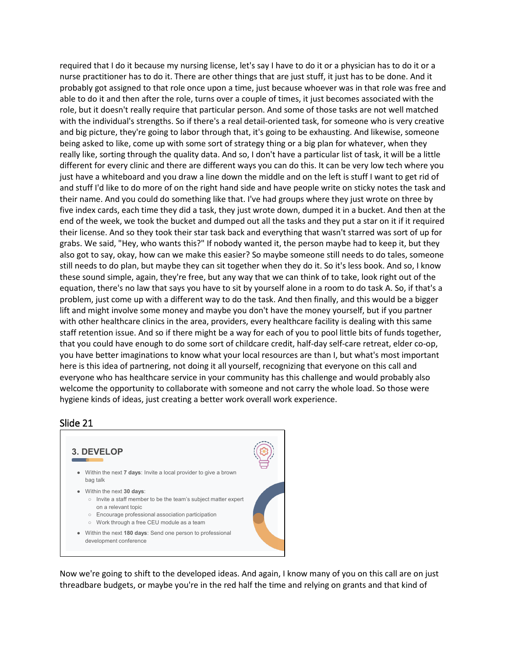required that I do it because my nursing license, let's say I have to do it or a physician has to do it or a nurse practitioner has to do it. There are other things that are just stuff, it just has to be done. And it probably got assigned to that role once upon a time, just because whoever was in that role was free and able to do it and then after the role, turns over a couple of times, it just becomes associated with the role, but it doesn't really require that particular person. And some of those tasks are not well matched with the individual's strengths. So if there's a real detail-oriented task, for someone who is very creative and big picture, they're going to labor through that, it's going to be exhausting. And likewise, someone being asked to like, come up with some sort of strategy thing or a big plan for whatever, when they really like, sorting through the quality data. And so, I don't have a particular list of task, it will be a little different for every clinic and there are different ways you can do this. It can be very low tech where you just have a whiteboard and you draw a line down the middle and on the left is stuff I want to get rid of and stuff I'd like to do more of on the right hand side and have people write on sticky notes the task and their name. And you could do something like that. I've had groups where they just wrote on three by five index cards, each time they did a task, they just wrote down, dumped it in a bucket. And then at the end of the week, we took the bucket and dumped out all the tasks and they put a star on it if it required their license. And so they took their star task back and everything that wasn't starred was sort of up for grabs. We said, "Hey, who wants this?" If nobody wanted it, the person maybe had to keep it, but they also got to say, okay, how can we make this easier? So maybe someone still needs to do tales, someone still needs to do plan, but maybe they can sit together when they do it. So it's less book. And so, I know these sound simple, again, they're free, but any way that we can think of to take, look right out of the equation, there's no law that says you have to sit by yourself alone in a room to do task A. So, if that's a problem, just come up with a different way to do the task. And then finally, and this would be a bigger lift and might involve some money and maybe you don't have the money yourself, but if you partner with other healthcare clinics in the area, providers, every healthcare facility is dealing with this same staff retention issue. And so if there might be a way for each of you to pool little bits of funds together, that you could have enough to do some sort of childcare credit, half-day self-care retreat, elder co-op, you have better imaginations to know what your local resources are than I, but what's most important here is this idea of partnering, not doing it all yourself, recognizing that everyone on this call and everyone who has healthcare service in your community has this challenge and would probably also welcome the opportunity to collaborate with someone and not carry the whole load. So those were hygiene kinds of ideas, just creating a better work overall work experience.

### Slide 21

**3. DEVELOP** ● Within the next **7 days**: Invite a local provider to give a brown bag talk ● Within the next **30 days**: ○ Invite a staff member to be the team's subject matter expert on a relevant topic ○ Encourage professional association participation ○ Work through a free CEU module as a team ● Within the next **180 days**: Send one person to professional development conference

Now we're going to shift to the developed ideas. And again, I know many of you on this call are on just threadbare budgets, or maybe you're in the red half the time and relying on grants and that kind of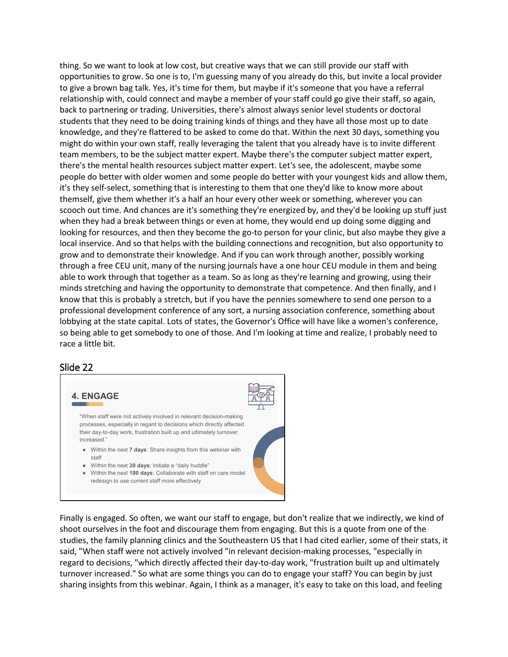thing. So we want to look at low cost, but creative ways that we can still provide our staff with opportunities to grow. So one is to, I'm guessing many of you already do this, but invite a local provider to give a brown bag talk. Yes, it's time for them, but maybe if it's someone that you have a referral relationship with, could connect and maybe a member of your staff could go give their staff, so again, back to partnering or trading. Universities, there's almost always senior level students or doctoral students that they need to be doing training kinds of things and they have all those most up to date knowledge, and they're flattered to be asked to come do that. Within the next 30 days, something you might do within your own staff, really leveraging the talent that you already have is to invite different team members, to be the subject matter expert. Maybe there's the computer subject matter expert, there's the mental health resources subject matter expert. Let's see, the adolescent, maybe some people do better with older women and some people do better with your youngest kids and allow them, it's they self-select, something that is interesting to them that one they'd like to know more about themself, give them whether it's a half an hour every other week or something, wherever you can scooch out time. And chances are it's something they're energized by, and they'd be looking up stuff just when they had a break between things or even at home, they would end up doing some digging and looking for resources, and then they become the go-to person for your clinic, but also maybe they give a local inservice. And so that helps with the building connections and recognition, but also opportunity to grow and to demonstrate their knowledge. And if you can work through another, possibly working through a free CEU unit, many of the nursing journals have a one hour CEU module in them and being able to work through that together as a team. So as long as they're learning and growing, using their minds stretching and having the opportunity to demonstrate that competence. And then finally, and I know that this is probably a stretch, but if you have the pennies somewhere to send one person to a professional development conference of any sort, a nursing association conference, something about lobbying at the state capital. Lots of states, the Governor's Office will have like a women's conference, so being able to get somebody to one of those. And I'm looking at time and realize, I probably need to race a little bit.

#### Slide 22



Finally is engaged. So often, we want our staff to engage, but don't realize that we indirectly, we kind of shoot ourselves in the foot and discourage them from engaging. But this is a quote from one of the studies, the family planning clinics and the Southeastern US that I had cited earlier, some of their stats, it said, "When staff were not actively involved "in relevant decision-making processes, "especially in regard to decisions, "which directly affected their day-to-day work, "frustration built up and ultimately turnover increased." So what are some things you can do to engage your staff? You can begin by just sharing insights from this webinar. Again, I think as a manager, it's easy to take on this load, and feeling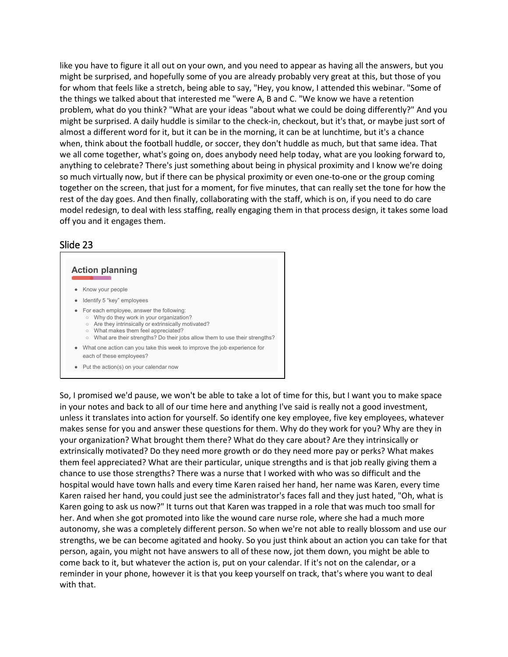like you have to figure it all out on your own, and you need to appear as having all the answers, but you might be surprised, and hopefully some of you are already probably very great at this, but those of you for whom that feels like a stretch, being able to say, "Hey, you know, I attended this webinar. "Some of the things we talked about that interested me "were A, B and C. "We know we have a retention problem, what do you think? "What are your ideas "about what we could be doing differently?" And you might be surprised. A daily huddle is similar to the check-in, checkout, but it's that, or maybe just sort of almost a different word for it, but it can be in the morning, it can be at lunchtime, but it's a chance when, think about the football huddle, or soccer, they don't huddle as much, but that same idea. That we all come together, what's going on, does anybody need help today, what are you looking forward to, anything to celebrate? There's just something about being in physical proximity and I know we're doing so much virtually now, but if there can be physical proximity or even one-to-one or the group coming together on the screen, that just for a moment, for five minutes, that can really set the tone for how the rest of the day goes. And then finally, collaborating with the staff, which is on, if you need to do care model redesign, to deal with less staffing, really engaging them in that process design, it takes some load off you and it engages them.

### Slide 23

#### **Action planning**

- Know your people
- Identify 5 "key" employees
- For each employee, answer the following:
	- Why do they work in your organization?
	- Are they intrinsically or extrinsically motivated? ○ What makes them feel appreciated?
	- What are their strengths? Do their jobs allow them to use their strengths?
- What one action can you take this week to improve the job experience for each of these employees?
- Put the action(s) on your calendar now

So, I promised we'd pause, we won't be able to take a lot of time for this, but I want you to make space in your notes and back to all of our time here and anything I've said is really not a good investment, unless it translates into action for yourself. So identify one key employee, five key employees, whatever makes sense for you and answer these questions for them. Why do they work for you? Why are they in your organization? What brought them there? What do they care about? Are they intrinsically or extrinsically motivated? Do they need more growth or do they need more pay or perks? What makes them feel appreciated? What are their particular, unique strengths and is that job really giving them a chance to use those strengths? There was a nurse that I worked with who was so difficult and the hospital would have town halls and every time Karen raised her hand, her name was Karen, every time Karen raised her hand, you could just see the administrator's faces fall and they just hated, "Oh, what is Karen going to ask us now?" It turns out that Karen was trapped in a role that was much too small for her. And when she got promoted into like the wound care nurse role, where she had a much more autonomy, she was a completely different person. So when we're not able to really blossom and use our strengths, we be can become agitated and hooky. So you just think about an action you can take for that person, again, you might not have answers to all of these now, jot them down, you might be able to come back to it, but whatever the action is, put on your calendar. If it's not on the calendar, or a reminder in your phone, however it is that you keep yourself on track, that's where you want to deal with that.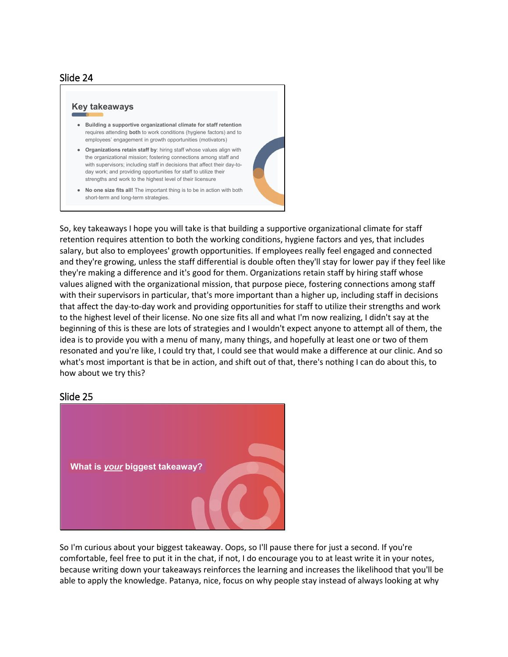#### **Key takeaways**

- **Building a supportive organizational climate for staff retention** requires attending **both** to work conditions (hygiene factors) and to employees' engagement in growth opportunities (motivators)
- **Organizations retain staff by**: hiring staff whose values align with the organizational mission; fostering connections among staff and with supervisors; including staff in decisions that affect their day-today work; and providing opportunities for staff to utilize their strengths and work to the highest level of their licensure
- **No one size fits all!** The important thing is to be in action with both short-term and long-term strategies.

So, key takeaways I hope you will take is that building a supportive organizational climate for staff retention requires attention to both the working conditions, hygiene factors and yes, that includes salary, but also to employees' growth opportunities. If employees really feel engaged and connected and they're growing, unless the staff differential is double often they'll stay for lower pay if they feel like they're making a difference and it's good for them. Organizations retain staff by hiring staff whose values aligned with the organizational mission, that purpose piece, fostering connections among staff with their supervisors in particular, that's more important than a higher up, including staff in decisions that affect the day-to-day work and providing opportunities for staff to utilize their strengths and work to the highest level of their license. No one size fits all and what I'm now realizing, I didn't say at the beginning of this is these are lots of strategies and I wouldn't expect anyone to attempt all of them, the idea is to provide you with a menu of many, many things, and hopefully at least one or two of them resonated and you're like, I could try that, I could see that would make a difference at our clinic. And so what's most important is that be in action, and shift out of that, there's nothing I can do about this, to how about we try this?

#### Slide 25



So I'm curious about your biggest takeaway. Oops, so I'll pause there for just a second. If you're comfortable, feel free to put it in the chat, if not, I do encourage you to at least write it in your notes, because writing down your takeaways reinforces the learning and increases the likelihood that you'll be able to apply the knowledge. Patanya, nice, focus on why people stay instead of always looking at why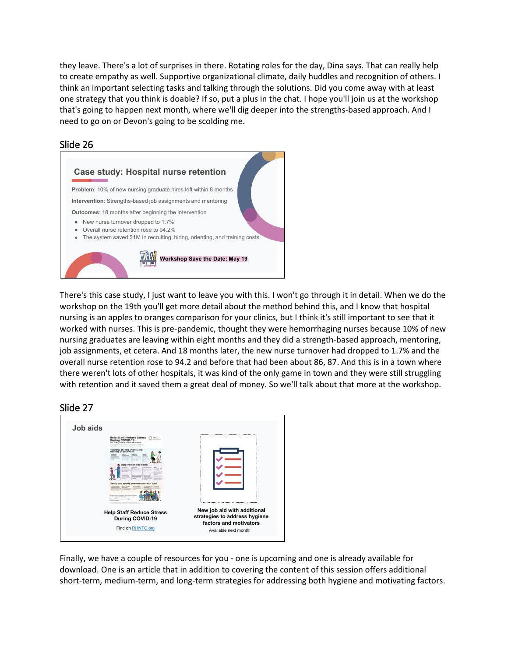they leave. There's a lot of surprises in there. Rotating roles for the day, Dina says. That can really help to create empathy as well. Supportive organizational climate, daily huddles and recognition of others. I think an important selecting tasks and talking through the solutions. Did you come away with at least one strategy that you think is doable? If so, put a plus in the chat. I hope you'll join us at the workshop that's going to happen next month, where we'll dig deeper into the strengths-based approach. And I need to go on or Devon's going to be scolding me.



# Slide 26

There's this case study, I just want to leave you with this. I won't go through it in detail. When we do the workshop on the 19th you'll get more detail about the method behind this, and I know that hospital nursing is an apples to oranges comparison for your clinics, but I think it's still important to see that it worked with nurses. This is pre-pandemic, thought they were hemorrhaging nurses because 10% of new nursing graduates are leaving within eight months and they did a strength-based approach, mentoring, job assignments, et cetera. And 18 months later, the new nurse turnover had dropped to 1.7% and the overall nurse retention rose to 94.2 and before that had been about 86, 87. And this is in a town where there weren't lots of other hospitals, it was kind of the only game in town and they were still struggling with retention and it saved them a great deal of money. So we'll talk about that more at the workshop.

# Slide 27

| Job aids |                                                                                                                                                                                                                                                                                                                                                                                                                                                                                                                                       |                                                                                        |
|----------|---------------------------------------------------------------------------------------------------------------------------------------------------------------------------------------------------------------------------------------------------------------------------------------------------------------------------------------------------------------------------------------------------------------------------------------------------------------------------------------------------------------------------------------|----------------------------------------------------------------------------------------|
|          | <b>Help Staff Reduce Stress</b><br><b>FPNTC</b><br><b>During COVID-19</b><br>TIPS FOR FAMILY PLANNING FROVIDERS<br>your than your lacenter and manufacult is important - and shallenshop<br>Keep those tips in mind at pre-marigan this public health amergency                                                                                                                                                                                                                                                                       |                                                                                        |
|          | <b>Reinforce the importance and</b><br>meaning of your work.<br>Celebrate<br><b>Donald</b><br><b>Expense</b><br><b>Electric</b><br>weekly would<br><b>Gratificate</b><br>week<br>and arounded<br><b>CONTACTOR</b><br>a che pergera<br>Markett account<br>the role of the car.<br>sheets and<br>and the company's company's com-<br>product and that is absolute<br>if young a young<br>and or leasing checks<br><b>ALLING</b><br>Information of Alberta<br>and a part is address.<br><b><i><u>Indicate</u></i></b>                    |                                                                                        |
|          | Support staff well-being.<br><b>Country of</b><br><b>Group a stores</b><br><b>Sharp</b><br>moved health<br>white existent<br><b>CARD AND</b><br><b>MONTHS</b><br>all a locality<br><b>INSURANCE</b><br>m<br><b><i><u>Informatione</u></i></b><br>Company and professional<br><b><i><u><u>ALCOHOL AND</u></u></i></b><br><b>Shout outs</b><br>affen 'es breab.<br>a ballon scarch<br>Clearly and openly communicate with staff.                                                                                                        |                                                                                        |
|          | Prendde noutine<br>Share training<br><b>Restruction when when</b><br>Advancement<br>contemplated on<br>resources<br>neeting:<br><b>Retired Associates</b><br>turnational actions and and another promotioning<br><b>CONTRACTOR</b><br>and stand all shall and the anti-contractor<br><b>CONTRACTOR</b><br>be decision in the station<br>The RPM Includes a personal in comparison furniture function<br>sculpture during the Cittish models. Supply appeared<br>Engineer/PMC Granter Esternamental Senioana<br>to additional support. |                                                                                        |
|          | <b>Help Staff Reduce Stress</b><br>During COVID-19                                                                                                                                                                                                                                                                                                                                                                                                                                                                                    | New job aid with additional<br>strategies to address hygiene<br>factors and motivators |
|          | Find on RHNTC.org                                                                                                                                                                                                                                                                                                                                                                                                                                                                                                                     | Available next month!                                                                  |

Finally, we have a couple of resources for you - one is upcoming and one is already available for download. One is an article that in addition to covering the content of this session offers additional short-term, medium-term, and long-term strategies for addressing both hygiene and motivating factors.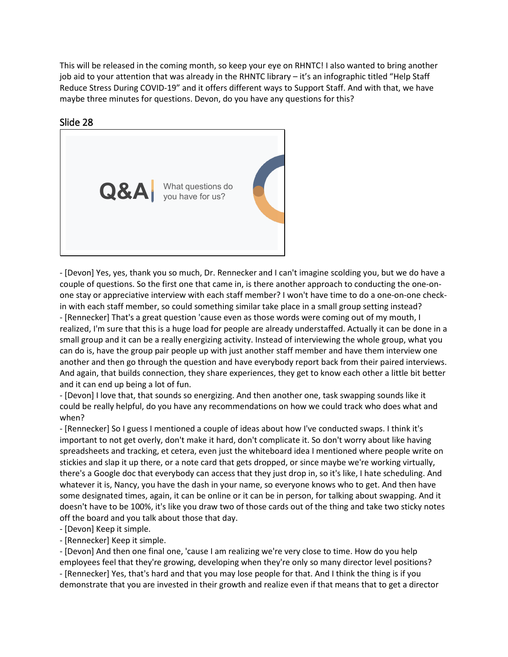This will be released in the coming month, so keep your eye on RHNTC! I also wanted to bring another job aid to your attention that was already in the RHNTC library – it's an infographic titled "Help Staff Reduce Stress During COVID-19" and it offers different ways to Support Staff. And with that, we have maybe three minutes for questions. Devon, do you have any questions for this?

# Slide 28



- [Devon] Yes, yes, thank you so much, Dr. Rennecker and I can't imagine scolding you, but we do have a couple of questions. So the first one that came in, is there another approach to conducting the one-onone stay or appreciative interview with each staff member? I won't have time to do a one-on-one checkin with each staff member, so could something similar take place in a small group setting instead?

- [Rennecker] That's a great question 'cause even as those words were coming out of my mouth, I realized, I'm sure that this is a huge load for people are already understaffed. Actually it can be done in a small group and it can be a really energizing activity. Instead of interviewing the whole group, what you can do is, have the group pair people up with just another staff member and have them interview one another and then go through the question and have everybody report back from their paired interviews. And again, that builds connection, they share experiences, they get to know each other a little bit better and it can end up being a lot of fun.

- [Devon] I love that, that sounds so energizing. And then another one, task swapping sounds like it could be really helpful, do you have any recommendations on how we could track who does what and when?

- [Rennecker] So I guess I mentioned a couple of ideas about how I've conducted swaps. I think it's important to not get overly, don't make it hard, don't complicate it. So don't worry about like having spreadsheets and tracking, et cetera, even just the whiteboard idea I mentioned where people write on stickies and slap it up there, or a note card that gets dropped, or since maybe we're working virtually, there's a Google doc that everybody can access that they just drop in, so it's like, I hate scheduling. And whatever it is, Nancy, you have the dash in your name, so everyone knows who to get. And then have some designated times, again, it can be online or it can be in person, for talking about swapping. And it doesn't have to be 100%, it's like you draw two of those cards out of the thing and take two sticky notes off the board and you talk about those that day.

- [Devon] Keep it simple.

- [Rennecker] Keep it simple.

- [Devon] And then one final one, 'cause I am realizing we're very close to time. How do you help employees feel that they're growing, developing when they're only so many director level positions? - [Rennecker] Yes, that's hard and that you may lose people for that. And I think the thing is if you

demonstrate that you are invested in their growth and realize even if that means that to get a director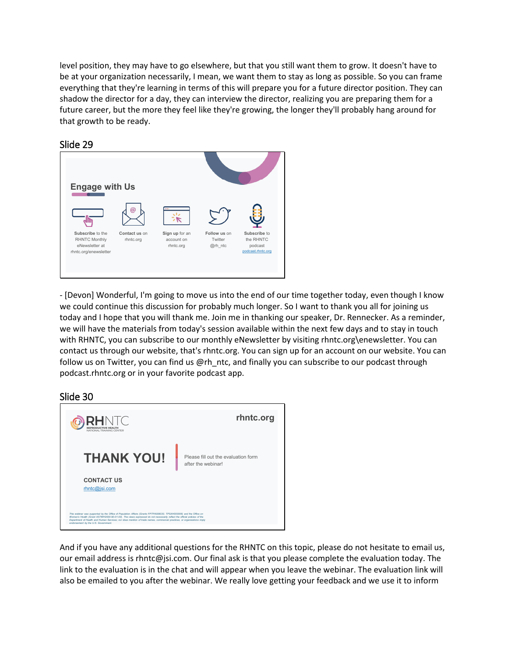level position, they may have to go elsewhere, but that you still want them to grow. It doesn't have to be at your organization necessarily, I mean, we want them to stay as long as possible. So you can frame everything that they're learning in terms of this will prepare you for a future director position. They can shadow the director for a day, they can interview the director, realizing you are preparing them for a future career, but the more they feel like they're growing, the longer they'll probably hang around for that growth to be ready.



# Slide 29

- [Devon] Wonderful, I'm going to move us into the end of our time together today, even though I know we could continue this discussion for probably much longer. So I want to thank you all for joining us today and I hope that you will thank me. Join me in thanking our speaker, Dr. Rennecker. As a reminder, we will have the materials from today's session available within the next few days and to stay in touch with RHNTC, you can subscribe to our monthly eNewsletter by visiting rhntc.org\enewsletter. You can contact us through our website, that's rhntc.org. You can sign up for an account on our website. You can follow us on Twitter, you can find us @rh\_ntc, and finally you can subscribe to our podcast through podcast.rhntc.org or in your favorite podcast app.

# Slide 30



And if you have any additional questions for the RHNTC on this topic, please do not hesitate to email us, our email address is rhntc@jsi.com. Our final ask is that you please complete the evaluation today. The link to the evaluation is in the chat and will appear when you leave the webinar. The evaluation link will also be emailed to you after the webinar. We really love getting your feedback and we use it to inform